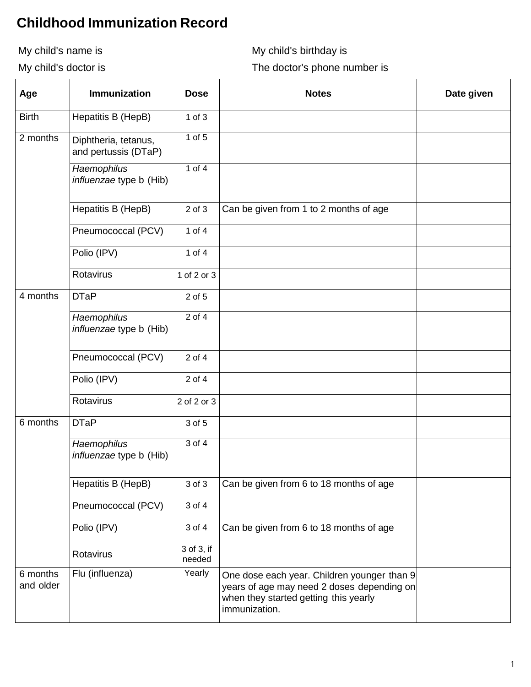## **Childhood Immunization Record**

My child's name is

My child's name is  $M$ y child's birthday is

My child's doctor is

My child's doctor is **The doctor's phone number** is

| Age                   | <b>Immunization</b>                                  | <b>Dose</b>          | <b>Notes</b>                                                                                                                                        | Date given |
|-----------------------|------------------------------------------------------|----------------------|-----------------------------------------------------------------------------------------------------------------------------------------------------|------------|
| <b>Birth</b>          | Hepatitis B (HepB)                                   | $1$ of $3$           |                                                                                                                                                     |            |
| 2 months              | Diphtheria, tetanus,<br>and pertussis (DTaP)         | $1$ of $5$           |                                                                                                                                                     |            |
|                       | <b>Haemophilus</b><br><i>influenzae</i> type b (Hib) | 1 of $4$             |                                                                                                                                                     |            |
|                       | Hepatitis B (HepB)                                   | $2$ of $3$           | Can be given from 1 to 2 months of age                                                                                                              |            |
|                       | Pneumococcal (PCV)                                   | 1 of $4$             |                                                                                                                                                     |            |
|                       | Polio (IPV)                                          | 1 of $4$             |                                                                                                                                                     |            |
|                       | Rotavirus                                            | 1 of 2 or 3          |                                                                                                                                                     |            |
| 4 months              | <b>DTaP</b>                                          | 2 of 5               |                                                                                                                                                     |            |
|                       | Haemophilus<br><i>influenzae</i> type b (Hib)        | $2$ of $4$           |                                                                                                                                                     |            |
|                       | Pneumococcal (PCV)                                   | $2$ of $4$           |                                                                                                                                                     |            |
|                       | Polio (IPV)                                          | 2 of 4               |                                                                                                                                                     |            |
|                       | Rotavirus                                            | $2$ of 2 or 3        |                                                                                                                                                     |            |
| 6 months              | <b>DTaP</b>                                          | 3 of 5               |                                                                                                                                                     |            |
|                       | Haemophilus<br><i>influenzae</i> type b (Hib)        | $3$ of $4$           |                                                                                                                                                     |            |
|                       | Hepatitis B (HepB)                                   | 3 of 3               | Can be given from 6 to 18 months of age                                                                                                             |            |
|                       | Pneumococcal (PCV)                                   | 3 of 4               |                                                                                                                                                     |            |
|                       | Polio (IPV)                                          | 3 of 4               | Can be given from 6 to 18 months of age                                                                                                             |            |
|                       | Rotavirus                                            | 3 of 3, if<br>needed |                                                                                                                                                     |            |
| 6 months<br>and older | Flu (influenza)                                      | Yearly               | One dose each year. Children younger than 9<br>years of age may need 2 doses depending on<br>when they started getting this yearly<br>immunization. |            |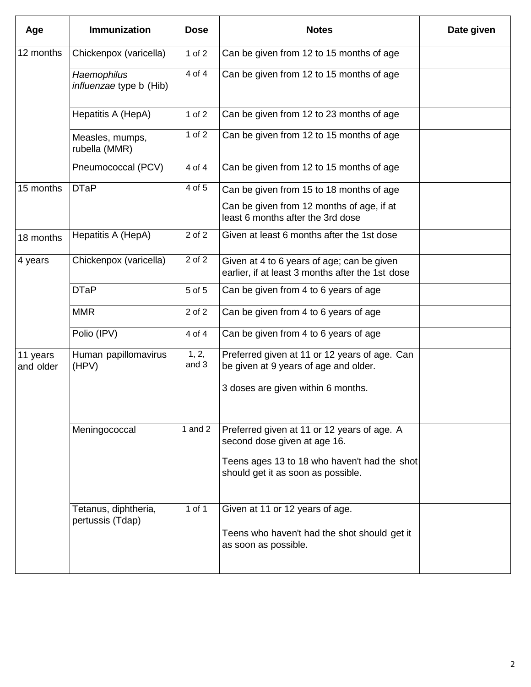| Age                   | <b>Immunization</b>                           | <b>Dose</b>    | <b>Notes</b>                                                                                   | Date given |
|-----------------------|-----------------------------------------------|----------------|------------------------------------------------------------------------------------------------|------------|
| 12 months             | Chickenpox (varicella)                        | 1 of $2$       | Can be given from 12 to 15 months of age                                                       |            |
|                       | Haemophilus<br><i>influenzae</i> type b (Hib) | 4 of 4         | Can be given from 12 to 15 months of age                                                       |            |
|                       | Hepatitis A (HepA)                            | $1$ of $2$     | Can be given from 12 to 23 months of age                                                       |            |
|                       | Measles, mumps,<br>rubella (MMR)              | 1 of 2         | Can be given from 12 to 15 months of age                                                       |            |
|                       | Pneumococcal (PCV)                            | 4 of 4         | Can be given from 12 to 15 months of age                                                       |            |
| 15 months             | <b>DTaP</b>                                   | 4 of 5         | Can be given from 15 to 18 months of age                                                       |            |
|                       |                                               |                | Can be given from 12 months of age, if at<br>least 6 months after the 3rd dose                 |            |
| 18 months             | Hepatitis A (HepA)                            | 2 of 2         | Given at least 6 months after the 1st dose                                                     |            |
| 4 years               | Chickenpox (varicella)                        | 2 of 2         | Given at 4 to 6 years of age; can be given<br>earlier, if at least 3 months after the 1st dose |            |
|                       | <b>DTaP</b>                                   | 5 of 5         | Can be given from 4 to 6 years of age                                                          |            |
|                       | <b>MMR</b>                                    | 2 of 2         | Can be given from 4 to 6 years of age                                                          |            |
|                       | Polio (IPV)                                   | 4 of 4         | Can be given from 4 to 6 years of age                                                          |            |
| 11 years<br>and older | Human papillomavirus<br>(HPV)                 | 1, 2,<br>and 3 | Preferred given at 11 or 12 years of age. Can<br>be given at 9 years of age and older.         |            |
|                       |                                               |                | 3 doses are given within 6 months.                                                             |            |
|                       | Meningococcal                                 | 1 and $2$      | Preferred given at 11 or 12 years of age. A<br>second dose given at age 16.                    |            |
|                       |                                               |                | Teens ages 13 to 18 who haven't had the shot<br>should get it as soon as possible.             |            |
|                       | Tetanus, diphtheria,<br>pertussis (Tdap)      | 1 of 1         | Given at 11 or 12 years of age.                                                                |            |
|                       |                                               |                | Teens who haven't had the shot should get it<br>as soon as possible.                           |            |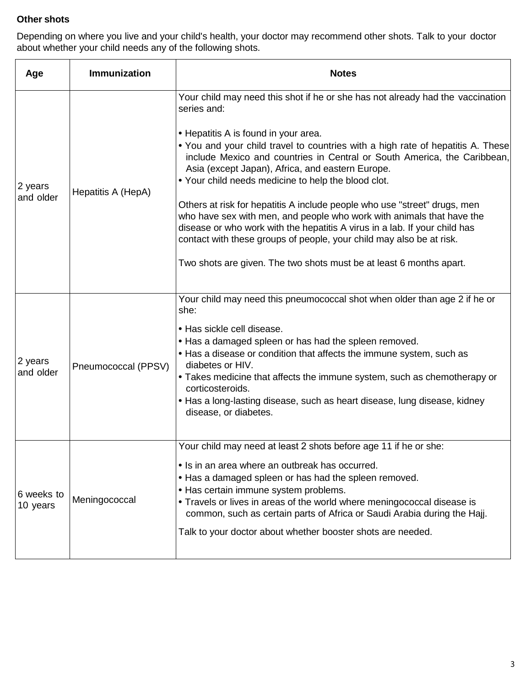## **Other shots**

i Depending on where you live and your child's health, your doctor may recommend other shots. Talk to your doctor about whether your child needs any of the following shots.

| Age                    | <b>Immunization</b> | <b>Notes</b>                                                                                                                                                                                                                                                                                                                                                                                                                                                                                                                                                                                                                                                                                                                                                                                       |  |
|------------------------|---------------------|----------------------------------------------------------------------------------------------------------------------------------------------------------------------------------------------------------------------------------------------------------------------------------------------------------------------------------------------------------------------------------------------------------------------------------------------------------------------------------------------------------------------------------------------------------------------------------------------------------------------------------------------------------------------------------------------------------------------------------------------------------------------------------------------------|--|
| 2 years<br>and older   | Hepatitis A (HepA)  | Your child may need this shot if he or she has not already had the vaccination<br>series and:<br>• Hepatitis A is found in your area.<br>. You and your child travel to countries with a high rate of hepatitis A. These<br>include Mexico and countries in Central or South America, the Caribbean,<br>Asia (except Japan), Africa, and eastern Europe.<br>• Your child needs medicine to help the blood clot.<br>Others at risk for hepatitis A include people who use "street" drugs, men<br>who have sex with men, and people who work with animals that have the<br>disease or who work with the hepatitis A virus in a lab. If your child has<br>contact with these groups of people, your child may also be at risk.<br>Two shots are given. The two shots must be at least 6 months apart. |  |
| 2 years<br>and older   | Pneumococcal (PPSV) | Your child may need this pneumococcal shot when older than age 2 if he or<br>she:<br>• Has sickle cell disease.<br>• Has a damaged spleen or has had the spleen removed.<br>• Has a disease or condition that affects the immune system, such as<br>diabetes or HIV.<br>• Takes medicine that affects the immune system, such as chemotherapy or<br>corticosteroids.<br>• Has a long-lasting disease, such as heart disease, lung disease, kidney<br>disease, or diabetes.                                                                                                                                                                                                                                                                                                                         |  |
| 6 weeks to<br>10 years | Meningococcal       | Your child may need at least 2 shots before age 11 if he or she:<br>• Is in an area where an outbreak has occurred.<br>• Has a damaged spleen or has had the spleen removed.<br>• Has certain immune system problems.<br>• Travels or lives in areas of the world where meningococcal disease is<br>common, such as certain parts of Africa or Saudi Arabia during the Hajj.<br>Talk to your doctor about whether booster shots are needed.                                                                                                                                                                                                                                                                                                                                                        |  |